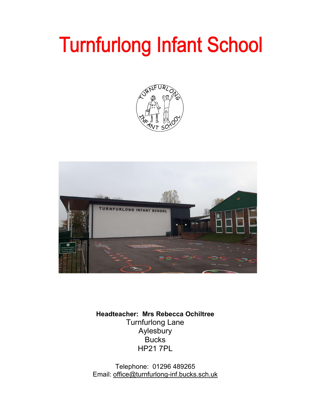# **Turnfurlong Infant School**





Headteacher: Mrs Rebecca Ochiltree Turnfurlong Lane Aylesbury **Bucks** HP21 7PL

Telephone: 01296 489265 Email: office@turnfurlong-inf.bucks.sch.uk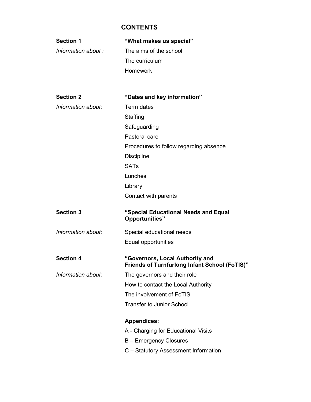## **CONTENTS**

| <b>Section 1</b>    | "What makes us special"                                                                 |
|---------------------|-----------------------------------------------------------------------------------------|
| Information about : | The aims of the school                                                                  |
|                     | The curriculum                                                                          |
|                     | Homework                                                                                |
|                     |                                                                                         |
|                     |                                                                                         |
| <b>Section 2</b>    | "Dates and key information"                                                             |
| Information about:  | Term dates                                                                              |
|                     | Staffing                                                                                |
|                     | Safeguarding                                                                            |
|                     | Pastoral care                                                                           |
|                     | Procedures to follow regarding absence                                                  |
|                     | <b>Discipline</b>                                                                       |
|                     | <b>SATs</b>                                                                             |
|                     | Lunches                                                                                 |
|                     | Library                                                                                 |
|                     | Contact with parents                                                                    |
|                     |                                                                                         |
| <b>Section 3</b>    | "Special Educational Needs and Equal<br>Opportunities"                                  |
| Information about:  | Special educational needs                                                               |
|                     | Equal opportunities                                                                     |
| <b>Section 4</b>    | "Governors, Local Authority and<br><b>Friends of Turnfurlong Infant School (FoTIS)"</b> |
| Information about:  | The governors and their role                                                            |
|                     | How to contact the Local Authority                                                      |
|                     | The involvement of FoTIS                                                                |
|                     | <b>Transfer to Junior School</b>                                                        |
|                     | <b>Appendices:</b>                                                                      |
|                     | A - Charging for Educational Visits                                                     |
|                     | <b>B</b> – Emergency Closures                                                           |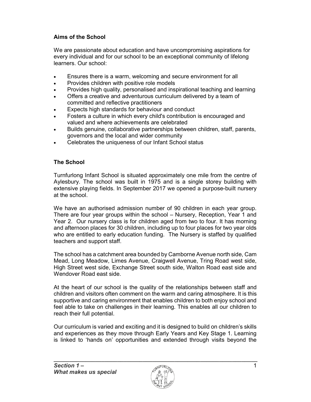## Aims of the School

We are passionate about education and have uncompromising aspirations for every individual and for our school to be an exceptional community of lifelong learners. Our school:

- Ensures there is a warm, welcoming and secure environment for all
- Provides children with positive role models
- Provides high quality, personalised and inspirational teaching and learning
- Offers a creative and adventurous curriculum delivered by a team of committed and reflective practitioners
- Expects high standards for behaviour and conduct
- Fosters a culture in which every child's contribution is encouraged and valued and where achievements are celebrated
- Builds genuine, collaborative partnerships between children, staff, parents, governors and the local and wider community
- Celebrates the uniqueness of our Infant School status

## The School

Turnfurlong Infant School is situated approximately one mile from the centre of Aylesbury. The school was built in 1975 and is a single storey building with extensive playing fields. In September 2017 we opened a purpose-built nursery at the school.

We have an authorised admission number of 90 children in each year group. There are four year groups within the school – Nursery, Reception, Year 1 and Year 2. Our nursery class is for children aged from two to four. It has morning and afternoon places for 30 children, including up to four places for two year olds who are entitled to early education funding. The Nursery is staffed by qualified teachers and support staff.

The school has a catchment area bounded by Camborne Avenue north side, Cam Mead, Long Meadow, Limes Avenue, Craigwell Avenue, Tring Road west side, High Street west side, Exchange Street south side, Walton Road east side and Wendover Road east side.

At the heart of our school is the quality of the relationships between staff and children and visitors often comment on the warm and caring atmosphere. It is this supportive and caring environment that enables children to both enjoy school and feel able to take on challenges in their learning. This enables all our children to reach their full potential.

Our curriculum is varied and exciting and it is designed to build on children's skills and experiences as they move through Early Years and Key Stage 1. Learning is linked to 'hands on' opportunities and extended through visits beyond the

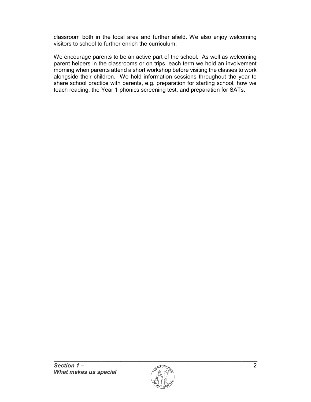classroom both in the local area and further afield. We also enjoy welcoming visitors to school to further enrich the curriculum.

We encourage parents to be an active part of the school. As well as welcoming parent helpers in the classrooms or on trips, each term we hold an involvement morning when parents attend a short workshop before visiting the classes to work alongside their children. We hold information sessions throughout the year to share school practice with parents, e.g. preparation for starting school, how we teach reading, the Year 1 phonics screening test, and preparation for SATs.

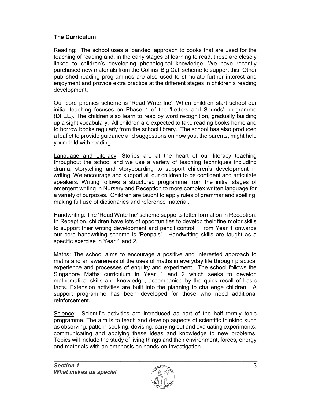## The Curriculum

Reading: The school uses a 'banded' approach to books that are used for the teaching of reading and, in the early stages of learning to read, these are closely linked to children's developing phonological knowledge. We have recently purchased new materials from the Collins 'Big Cat' scheme to support this. Other published reading programmes are also used to stimulate further interest and enjoyment and provide extra practice at the different stages in children's reading development.

Our core phonics scheme is 'Read Write Inc'. When children start school our initial teaching focuses on Phase 1 of the 'Letters and Sounds' programme (DFEE). The children also learn to read by word recognition, gradually building up a sight vocabulary. All children are expected to take reading books home and to borrow books regularly from the school library. The school has also produced a leaflet to provide guidance and suggestions on how you, the parents, might help your child with reading.

Language and Literacy: Stories are at the heart of our literacy teaching throughout the school and we use a variety of teaching techniques including drama, storytelling and storyboarding to support children's development in writing. We encourage and support all our children to be confident and articulate speakers. Writing follows a structured programme from the initial stages of emergent writing in Nursery and Reception to more complex written language for a variety of purposes. Children are taught to apply rules of grammar and spelling, making full use of dictionaries and reference material.

Handwriting: The 'Read Write Inc' scheme supports letter formation in Reception. In Reception, children have lots of opportunities to develop their fine motor skills to support their writing development and pencil control. From Year 1 onwards our core handwriting scheme is 'Penpals'. Handwriting skills are taught as a specific exercise in Year 1 and 2.

Maths: The school aims to encourage a positive and interested approach to maths and an awareness of the uses of maths in everyday life through practical experience and processes of enquiry and experiment. The school follows the Singapore Maths curriculum in Year 1 and 2 which seeks to develop mathematical skills and knowledge, accompanied by the quick recall of basic facts. Extension activities are built into the planning to challenge children. A support programme has been developed for those who need additional reinforcement.

Science: Scientific activities are introduced as part of the half termly topic programme. The aim is to teach and develop aspects of scientific thinking such as observing, pattern-seeking, devising, carrying out and evaluating experiments, communicating and applying these ideas and knowledge to new problems. Topics will include the study of living things and their environment, forces, energy and materials with an emphasis on hands-on investigation.

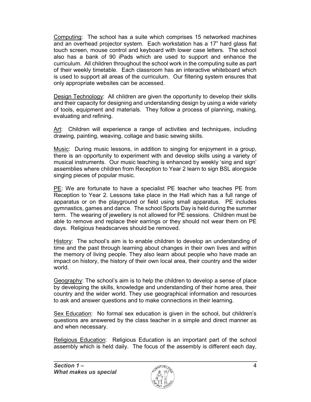Computing: The school has a suite which comprises 15 networked machines and an overhead projector system. Each workstation has a 17" hard glass flat touch screen, mouse control and keyboard with lower case letters. The school also has a bank of 90 iPads which are used to support and enhance the curriculum. All children throughout the school work in the computing suite as part of their weekly timetable. Each classroom has an interactive whiteboard which is used to support all areas of the curriculum. Our filtering system ensures that only appropriate websites can be accessed.

Design Technology: All children are given the opportunity to develop their skills and their capacity for designing and understanding design by using a wide variety of tools, equipment and materials. They follow a process of planning, making, evaluating and refining.

Art: Children will experience a range of activities and techniques, including drawing, painting, weaving, collage and basic sewing skills.

Music: During music lessons, in addition to singing for enjoyment in a group, there is an opportunity to experiment with and develop skills using a variety of musical instruments. Our music teaching is enhanced by weekly 'sing and sign' assemblies where children from Reception to Year 2 learn to sign BSL alongside singing pieces of popular music.

PE: We are fortunate to have a specialist PE teacher who teaches PE from Reception to Year 2. Lessons take place in the Hall which has a full range of apparatus or on the playground or field using small apparatus. PE includes gymnastics, games and dance. The school Sports Day is held during the summer term. The wearing of jewellery is not allowed for PE sessions. Children must be able to remove and replace their earrings or they should not wear them on PE days. Religious headscarves should be removed.

History: The school's aim is to enable children to develop an understanding of time and the past through learning about changes in their own lives and within the memory of living people. They also learn about people who have made an impact on history, the history of their own local area, their country and the wider world.

Geography: The school's aim is to help the children to develop a sense of place by developing the skills, knowledge and understanding of their home area, their country and the wider world. They use geographical information and resources to ask and answer questions and to make connections in their learning.

Sex Education: No formal sex education is given in the school, but children's questions are answered by the class teacher in a simple and direct manner as and when necessary.

Religious Education: Religious Education is an important part of the school assembly which is held daily. The focus of the assembly is different each day,

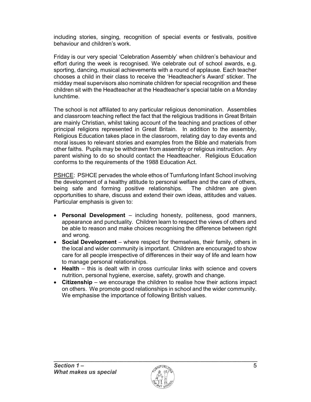including stories, singing, recognition of special events or festivals, positive behaviour and children's work.

Friday is our very special 'Celebration Assembly' when children's behaviour and effort during the week is recognised. We celebrate out of school awards, e.g. sporting, dancing, musical achievements with a round of applause. Each teacher chooses a child in their class to receive the 'Headteacher's Award' sticker. The midday meal supervisors also nominate children for special recognition and these children sit with the Headteacher at the Headteacher's special table on a Monday lunchtime.

The school is not affiliated to any particular religious denomination. Assemblies and classroom teaching reflect the fact that the religious traditions in Great Britain are mainly Christian, whilst taking account of the teaching and practices of other principal religions represented in Great Britain. In addition to the assembly, Religious Education takes place in the classroom, relating day to day events and moral issues to relevant stories and examples from the Bible and materials from other faiths. Pupils may be withdrawn from assembly or religious instruction. Any parent wishing to do so should contact the Headteacher. Religious Education conforms to the requirements of the 1988 Education Act.

PSHCE: PSHCE pervades the whole ethos of Turnfurlong Infant School involving the development of a healthy attitude to personal welfare and the care of others, being safe and forming positive relationships. The children are given opportunities to share, discuss and extend their own ideas, attitudes and values. Particular emphasis is given to:

- Personal Development including honesty, politeness, good manners, appearance and punctuality. Children learn to respect the views of others and be able to reason and make choices recognising the difference between right and wrong.
- Social Development where respect for themselves, their family, others in the local and wider community is important. Children are encouraged to show care for all people irrespective of differences in their way of life and learn how to manage personal relationships.
- Health this is dealt with in cross curricular links with science and covers nutrition, personal hygiene, exercise, safety, growth and change.
- **Citizenship** we encourage the children to realise how their actions impact on others. We promote good relationships in school and the wider community. We emphasise the importance of following British values.

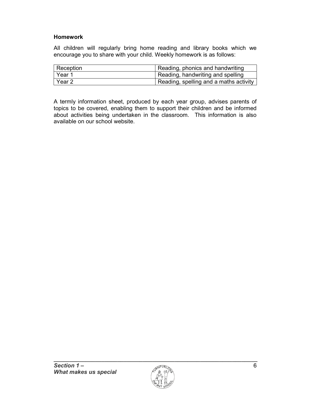## Homework

All children will regularly bring home reading and library books which we encourage you to share with your child. Weekly homework is as follows:

| Reception | Reading, phonics and handwriting       |
|-----------|----------------------------------------|
| ∣ Year 1  | Reading, handwriting and spelling      |
| Year 2    | Reading, spelling and a maths activity |

A termly information sheet, produced by each year group, advises parents of topics to be covered, enabling them to support their children and be informed about activities being undertaken in the classroom. This information is also available on our school website.

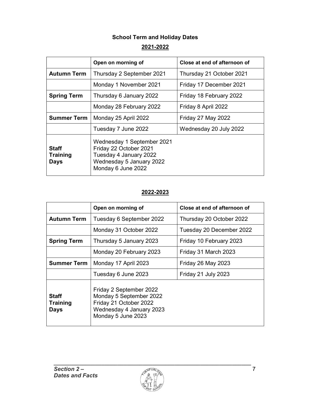## School Term and Holiday Dates 2021-2022

|                                                | Open on morning of                                                                                                               | Close at end of afternoon of |  |
|------------------------------------------------|----------------------------------------------------------------------------------------------------------------------------------|------------------------------|--|
| <b>Autumn Term</b>                             | Thursday 2 September 2021                                                                                                        | Thursday 21 October 2021     |  |
|                                                | Monday 1 November 2021                                                                                                           | Friday 17 December 2021      |  |
| <b>Spring Term</b>                             | Thursday 6 January 2022                                                                                                          | Friday 18 February 2022      |  |
|                                                | Monday 28 February 2022                                                                                                          | Friday 8 April 2022          |  |
| <b>Summer Term</b>                             | Monday 25 April 2022                                                                                                             | Friday 27 May 2022           |  |
|                                                | Tuesday 7 June 2022                                                                                                              | Wednesday 20 July 2022       |  |
| <b>Staff</b><br><b>Training</b><br><b>Days</b> | Wednesday 1 September 2021<br>Friday 22 October 2021<br>Tuesday 4 January 2022<br>Wednesday 5 January 2022<br>Monday 6 June 2022 |                              |  |

## 2022-2023

|                                                | Open on morning of                                                                                                             | Close at end of afternoon of |  |
|------------------------------------------------|--------------------------------------------------------------------------------------------------------------------------------|------------------------------|--|
| <b>Autumn Term</b>                             | Tuesday 6 September 2022                                                                                                       | Thursday 20 October 2022     |  |
|                                                | Monday 31 October 2022                                                                                                         | Tuesday 20 December 2022     |  |
| <b>Spring Term</b>                             | Thursday 5 January 2023                                                                                                        | Friday 10 February 2023      |  |
|                                                | Monday 20 February 2023                                                                                                        | Friday 31 March 2023         |  |
| <b>Summer Term</b>                             | Monday 17 April 2023                                                                                                           | Friday 26 May 2023           |  |
|                                                | Tuesday 6 June 2023                                                                                                            | Friday 21 July 2023          |  |
| <b>Staff</b><br><b>Training</b><br><b>Days</b> | Friday 2 September 2022<br>Monday 5 September 2022<br>Friday 21 October 2022<br>Wednesday 4 January 2023<br>Monday 5 June 2023 |                              |  |

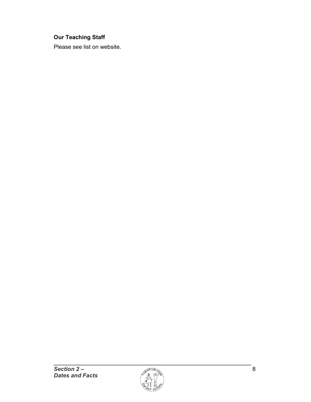## Our Teaching Staff

Please see list on website.

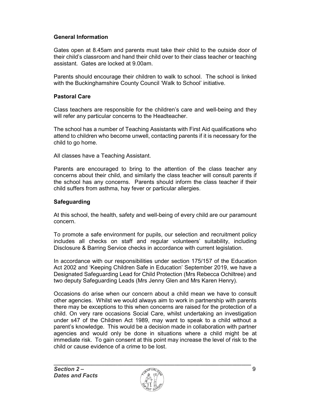## General Information

Gates open at 8.45am and parents must take their child to the outside door of their child's classroom and hand their child over to their class teacher or teaching assistant. Gates are locked at 9.00am.

Parents should encourage their children to walk to school. The school is linked with the Buckinghamshire County Council 'Walk to School' initiative.

#### Pastoral Care

Class teachers are responsible for the children's care and well-being and they will refer any particular concerns to the Headteacher.

The school has a number of Teaching Assistants with First Aid qualifications who attend to children who become unwell, contacting parents if it is necessary for the child to go home.

All classes have a Teaching Assistant.

Parents are encouraged to bring to the attention of the class teacher any concerns about their child, and similarly the class teacher will consult parents if the school has any concerns. Parents should inform the class teacher if their child suffers from asthma, hay fever or particular allergies.

#### **Safeguarding**

At this school, the health, safety and well-being of every child are our paramount concern.

To promote a safe environment for pupils, our selection and recruitment policy includes all checks on staff and regular volunteers' suitability, including Disclosure & Barring Service checks in accordance with current legislation.

In accordance with our responsibilities under section 175/157 of the Education Act 2002 and 'Keeping Children Safe in Education' September 2019, we have a Designated Safeguarding Lead for Child Protection (Mrs Rebecca Ochiltree) and two deputy Safeguarding Leads (Mrs Jenny Glen and Mrs Karen Henry).

Occasions do arise when our concern about a child mean we have to consult other agencies. Whilst we would always aim to work in partnership with parents there may be exceptions to this when concerns are raised for the protection of a child. On very rare occasions Social Care, whilst undertaking an investigation under s47 of the Children Act 1989, may want to speak to a child without a parent's knowledge. This would be a decision made in collaboration with partner agencies and would only be done in situations where a child might be at immediate risk. To gain consent at this point may increase the level of risk to the child or cause evidence of a crime to be lost.

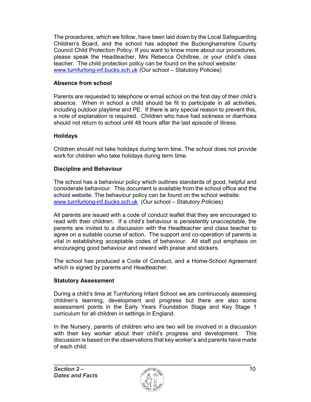The procedures, which we follow, have been laid down by the Local Safeguarding Children's Board, and the school has adopted the Buckinghamshire County Council Child Protection Policy. If you want to know more about our procedures, please speak the Headteacher, Mrs Rebecca Ochiltree, or your child's class teacher. The child protection policy can be found on the school website: www.turnfurlong-inf.bucks.sch.uk (Our school – Statutory Policies)

## Absence from school

Parents are requested to telephone or email school on the first day of their child's absence. When in school a child should be fit to participate in all activities, including outdoor playtime and PE. If there is any special reason to prevent this, a note of explanation is required. Children who have had sickness or diarrhoea should not return to school until 48 hours after the last episode of illness.

## Holidays

Children should not take holidays during term time. The school does not provide work for children who take holidays during term time.

## Discipline and Behaviour

The school has a behaviour policy which outlines standards of good, helpful and considerate behaviour. This document is available from the school office and the school website. The behaviour policy can be found on the school website: www.turnfurlong-inf.bucks.sch.uk (Our school – Statutory Policies)

All parents are issued with a code of conduct leaflet that they are encouraged to read with their children. If a child's behaviour is persistently unacceptable, the parents are invited to a discussion with the Headteacher and class teacher to agree on a suitable course of action. The support and co-operation of parents is vital in establishing acceptable codes of behaviour. All staff put emphasis on encouraging good behaviour and reward with praise and stickers.

The school has produced a Code of Conduct, and a Home-School Agreement which is signed by parents and Headteacher.

#### Statutory Assessment

During a child's time at Turnfurlong Infant School we are continuously assessing children's learning, development and progress but there are also some assessment points in the Early Years Foundation Stage and Key Stage 1 curriculum for all children in settings in England.

In the Nursery, parents of children who are two will be involved in a discussion with their key worker about their child's progress and development. This discussion is based on the observations that key worker's and parents have made of each child.

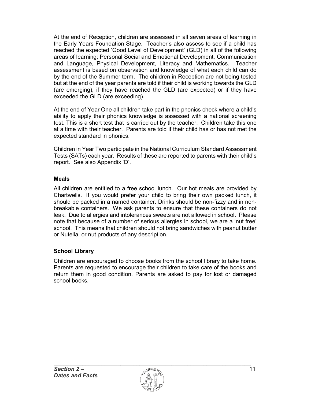At the end of Reception, children are assessed in all seven areas of learning in the Early Years Foundation Stage. Teacher's also assess to see if a child has reached the expected 'Good Level of Development' (GLD) in all of the following areas of learning; Personal Social and Emotional Development, Communication and Language, Physical Development, Literacy and Mathematics. Teacher assessment is based on observation and knowledge of what each child can do by the end of the Summer term. The children in Reception are not being tested but at the end of the year parents are told if their child is working towards the GLD (are emerging), if they have reached the GLD (are expected) or if they have exceeded the GLD (are exceeding).

At the end of Year One all children take part in the phonics check where a child's ability to apply their phonics knowledge is assessed with a national screening test. This is a short test that is carried out by the teacher. Children take this one at a time with their teacher. Parents are told if their child has or has not met the expected standard in phonics.

Children in Year Two participate in the National Curriculum Standard Assessment Tests (SATs) each year. Results of these are reported to parents with their child's report. See also Appendix 'D'.

## Meals

All children are entitled to a free school lunch. Our hot meals are provided by Chartwells. If you would prefer your child to bring their own packed lunch, it should be packed in a named container. Drinks should be non-fizzy and in nonbreakable containers. We ask parents to ensure that these containers do not leak. Due to allergies and intolerances sweets are not allowed in school. Please note that because of a number of serious allergies in school, we are a 'nut free' school. This means that children should not bring sandwiches with peanut butter or Nutella, or nut products of any description.

## School Library

Children are encouraged to choose books from the school library to take home. Parents are requested to encourage their children to take care of the books and return them in good condition. Parents are asked to pay for lost or damaged school books.

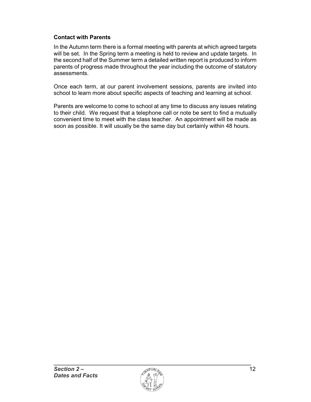## Contact with Parents

In the Autumn term there is a formal meeting with parents at which agreed targets will be set. In the Spring term a meeting is held to review and update targets. In the second half of the Summer term a detailed written report is produced to inform parents of progress made throughout the year including the outcome of statutory assessments.

Once each term, at our parent involvement sessions, parents are invited into school to learn more about specific aspects of teaching and learning at school.

Parents are welcome to come to school at any time to discuss any issues relating to their child. We request that a telephone call or note be sent to find a mutually convenient time to meet with the class teacher. An appointment will be made as soon as possible. It will usually be the same day but certainly within 48 hours.

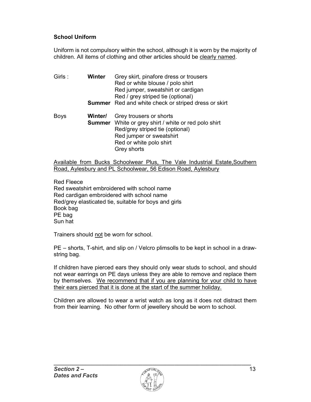## School Uniform

Uniform is not compulsory within the school, although it is worn by the majority of children. All items of clothing and other articles should be clearly named.

| Girls:      | Winter  | Grey skirt, pinafore dress or trousers<br>Red or white blouse / polo shirt<br>Red jumper, sweatshirt or cardigan<br>Red / grey striped tie (optional)                                           |
|-------------|---------|-------------------------------------------------------------------------------------------------------------------------------------------------------------------------------------------------|
|             |         | <b>Summer</b> Red and white check or striped dress or skirt                                                                                                                                     |
| <b>Boys</b> | Winter/ | Grey trousers or shorts<br><b>Summer</b> White or grey shirt / white or red polo shirt<br>Red/grey striped tie (optional)<br>Red jumper or sweatshirt<br>Red or white polo shirt<br>Grey shorts |

Available from Bucks Schoolwear Plus, The Vale Industrial Estate,Southern Road, Aylesbury and PL Schoolwear, 56 Edison Road, Aylesbury

Red Fleece Red sweatshirt embroidered with school name Red cardigan embroidered with school name Red/grey elasticated tie, suitable for boys and girls Book bag PE bag Sun hat

Trainers should not be worn for school.

PE – shorts, T-shirt, and slip on / Velcro plimsolls to be kept in school in a drawstring bag.

If children have pierced ears they should only wear studs to school, and should not wear earrings on PE days unless they are able to remove and replace them by themselves. We recommend that if you are planning for your child to have their ears pierced that it is done at the start of the summer holiday.

Children are allowed to wear a wrist watch as long as it does not distract them from their learning. No other form of jewellery should be worn to school.

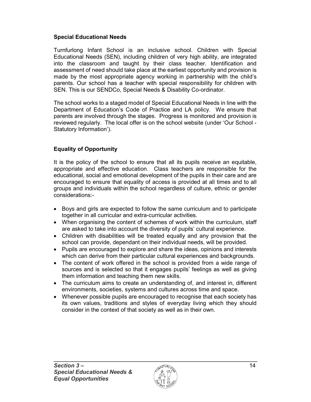## Special Educational Needs

Turnfurlong Infant School is an inclusive school. Children with Special Educational Needs (SEN), including children of very high ability, are integrated into the classroom and taught by their class teacher. Identification and assessment of need should take place at the earliest opportunity and provision is made by the most appropriate agency working in partnership with the child's parents. Our school has a teacher with special responsibility for children with SEN. This is our SENDCo, Special Needs & Disability Co-ordinator.

The school works to a staged model of Special Educational Needs in line with the Department of Education's Code of Practice and LA policy. We ensure that parents are involved through the stages. Progress is monitored and provision is reviewed regularly. The local offer is on the school website (under 'Our School - Statutory Information').

## Equality of Opportunity

It is the policy of the school to ensure that all its pupils receive an equitable, appropriate and effective education. Class teachers are responsible for the educational, social and emotional development of the pupils in their care and are encouraged to ensure that equality of access is provided at all times and to all groups and individuals within the school regardless of culture, ethnic or gender considerations:-

- Boys and girls are expected to follow the same curriculum and to participate together in all curricular and extra-curricular activities.
- When organising the content of schemes of work within the curriculum, staff are asked to take into account the diversity of pupils' cultural experience.
- Children with disabilities will be treated equally and any provision that the school can provide, dependant on their individual needs, will be provided.
- Pupils are encouraged to explore and share the ideas, opinions and interests which can derive from their particular cultural experiences and backgrounds.
- The content of work offered in the school is provided from a wide range of sources and is selected so that it engages pupils' feelings as well as giving them information and teaching them new skills.
- The curriculum aims to create an understanding of, and interest in, different environments, societies, systems and cultures across time and space.
- Whenever possible pupils are encouraged to recognise that each society has its own values, traditions and styles of everyday living which they should consider in the context of that society as well as in their own.

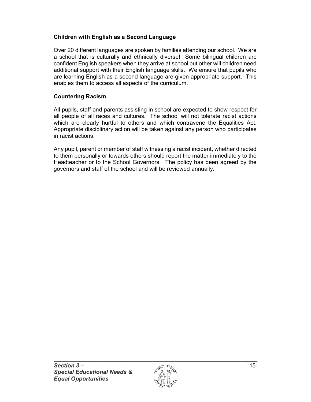## Children with English as a Second Language

Over 20 different languages are spoken by families attending our school. We are a school that is culturally and ethnically diverse! Some bilingual children are confident English speakers when they arrive at school but other will children need additional support with their English language skills. We ensure that pupils who are learning English as a second language are given appropriate support. This enables them to access all aspects of the curriculum.

## Countering Racism

All pupils, staff and parents assisting in school are expected to show respect for all people of all races and cultures. The school will not tolerate racist actions which are clearly hurtful to others and which contravene the Equalities Act. Appropriate disciplinary action will be taken against any person who participates in racist actions.

Any pupil, parent or member of staff witnessing a racist incident, whether directed to them personally or towards others should report the matter immediately to the Headteacher or to the School Governors. The policy has been agreed by the governors and staff of the school and will be reviewed annually.

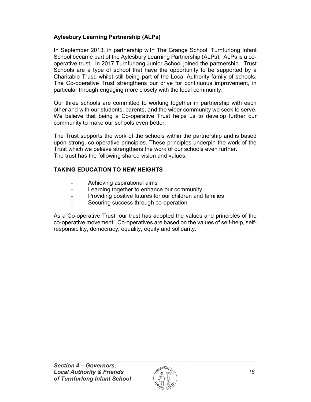## Aylesbury Learning Partnership (ALPs)

In September 2013, in partnership with The Grange School, Turnfurlong Infant School became part of the Aylesbury Learning Partnership (ALPs). ALPs is a cooperative trust. In 2017 Turnfurlong Junior School joined the partnership. Trust Schools are a type of school that have the opportunity to be supported by a Charitable Trust, whilst still being part of the Local Authority family of schools. The Co-operative Trust strengthens our drive for continuous improvement, in particular through engaging more closely with the local community.

Our three schools are committed to working together in partnership with each other and with our students, parents, and the wider community we seek to serve. We believe that being a Co-operative Trust helps us to develop further our community to make our schools even better.

The Trust supports the work of the schools within the partnership and is based upon strong, co-operative principles. These principles underpin the work of the Trust which we believe strengthens the work of our schools even further. The trust has the following shared vision and values:

## TAKING EDUCATION TO NEW HEIGHTS

- Achieving aspirational aims
- Learning together to enhance our community
- Providing positive futures for our children and families
- Securing success through co-operation

As a Co-operative Trust, our trust has adopted the values and principles of the co-operative movement. Co-operatives are based on the values of self-help, selfresponsibility, democracy, equality, equity and solidarity.

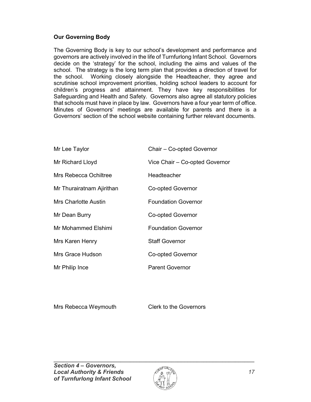## Our Governing Body

The Governing Body is key to our school's development and performance and governors are actively involved in the life of Turnfurlong Infant School. Governors decide on the 'strategy' for the school, including the aims and values of the school. The strategy is the long term plan that provides a direction of travel for the school. Working closely alongside the Headteacher, they agree and scrutinise school improvement priorities, holding school leaders to account for children's progress and attainment. They have key responsibilities for Safeguarding and Health and Safety. Governors also agree all statutory policies that schools must have in place by law. Governors have a four year term of office. Minutes of Governors' meetings are available for parents and there is a Governors' section of the school website containing further relevant documents.

| Mr Lee Taylor             | Chair - Co-opted Governor      |
|---------------------------|--------------------------------|
| Mr Richard Lloyd          | Vice Chair - Co-opted Governor |
| Mrs Rebecca Ochiltree     | Headteacher                    |
| Mr Thurairatnam Ajirithan | Co-opted Governor              |
| Mrs Charlotte Austin      | <b>Foundation Governor</b>     |
| Mr Dean Burry             | Co-opted Governor              |
| Mr Mohammed Elshimi       | <b>Foundation Governor</b>     |
| Mrs Karen Henry           | <b>Staff Governor</b>          |
| Mrs Grace Hudson          | <b>Co-opted Governor</b>       |
| Mr Philip Ince            | <b>Parent Governor</b>         |

Mrs Rebecca Weymouth Clerk to the Governors

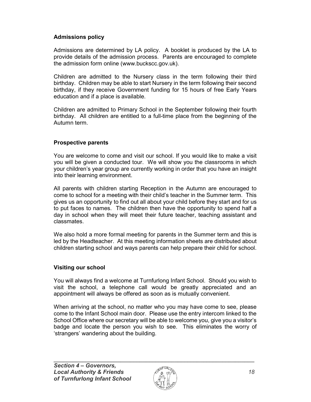## Admissions policy

Admissions are determined by LA policy. A booklet is produced by the LA to provide details of the admission process. Parents are encouraged to complete the admission form online (www.buckscc.gov.uk).

Children are admitted to the Nursery class in the term following their third birthday. Children may be able to start Nursery in the term following their second birthday, if they receive Government funding for 15 hours of free Early Years education and if a place is available.

Children are admitted to Primary School in the September following their fourth birthday. All children are entitled to a full-time place from the beginning of the Autumn term.

## Prospective parents

You are welcome to come and visit our school. If you would like to make a visit you will be given a conducted tour. We will show you the classrooms in which your children's year group are currently working in order that you have an insight into their learning environment.

All parents with children starting Reception in the Autumn are encouraged to come to school for a meeting with their child's teacher in the Summer term. This gives us an opportunity to find out all about your child before they start and for us to put faces to names. The children then have the opportunity to spend half a day in school when they will meet their future teacher, teaching assistant and classmates.

We also hold a more formal meeting for parents in the Summer term and this is led by the Headteacher. At this meeting information sheets are distributed about children starting school and ways parents can help prepare their child for school.

## Visiting our school

You will always find a welcome at Turnfurlong Infant School. Should you wish to visit the school, a telephone call would be greatly appreciated and an appointment will always be offered as soon as is mutually convenient.

When arriving at the school, no matter who you may have come to see, please come to the Infant School main door. Please use the entry intercom linked to the School Office where our secretary will be able to welcome you, give you a visitor's badge and locate the person you wish to see. This eliminates the worry of 'strangers' wandering about the building.

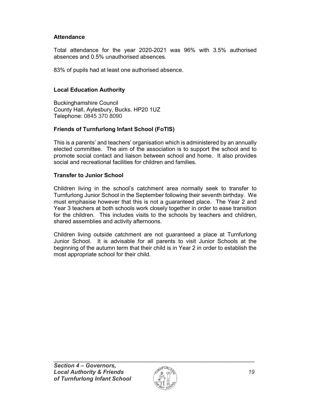## **Attendance**

Total attendance for the year 2020-2021 was 96% with 3.5% authorised absences and 0.5% unauthorised absences.

83% of pupils had at least one authorised absence.

## Local Education Authority

Buckinghamshire Council County Hall, Aylesbury, Bucks. HP20 1UZ Telephone: 0845 370 8090

## Friends of Turnfurlong Infant School (FoTIS)

This is a parents' and teachers' organisation which is administered by an annually elected committee. The aim of the association is to support the school and to promote social contact and liaison between school and home. It also provides social and recreational facilities for children and families

## Transfer to Junior School

Children living in the school's catchment area normally seek to transfer to Turnfurlong Junior School in the September following their seventh birthday. We must emphasise however that this is not a guaranteed place. The Year 2 and Year 3 teachers at both schools work closely together in order to ease transition for the children. This includes visits to the schools by teachers and children, shared assemblies and activity afternoons.

Children living outside catchment are not guaranteed a place at Turnfurlong Junior School. It is advisable for all parents to visit Junior Schools at the beginning of the autumn term that their child is in Year 2 in order to establish the most appropriate school for their child.

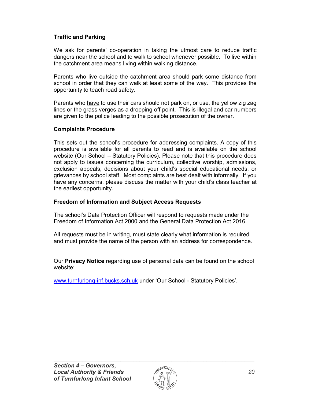## Traffic and Parking

We ask for parents' co-operation in taking the utmost care to reduce traffic dangers near the school and to walk to school whenever possible. To live within the catchment area means living within walking distance.

Parents who live outside the catchment area should park some distance from school in order that they can walk at least some of the way. This provides the opportunity to teach road safety.

Parents who have to use their cars should not park on, or use, the yellow zig zag lines or the grass verges as a dropping off point. This is illegal and car numbers are given to the police leading to the possible prosecution of the owner.

## Complaints Procedure

This sets out the school's procedure for addressing complaints. A copy of this procedure is available for all parents to read and is available on the school website (Our School – Statutory Policies). Please note that this procedure does not apply to issues concerning the curriculum, collective worship, admissions, exclusion appeals, decisions about your child's special educational needs, or grievances by school staff. Most complaints are best dealt with informally. If you have any concerns, please discuss the matter with your child's class teacher at the earliest opportunity.

## Freedom of Information and Subject Access Requests

The school's Data Protection Officer will respond to requests made under the Freedom of Information Act 2000 and the General Data Protection Act 2016.

All requests must be in writing, must state clearly what information is required and must provide the name of the person with an address for correspondence.

Our **Privacy Notice** regarding use of personal data can be found on the school website:

www.turnfurlong-inf.bucks.sch.uk under 'Our School - Statutory Policies'.

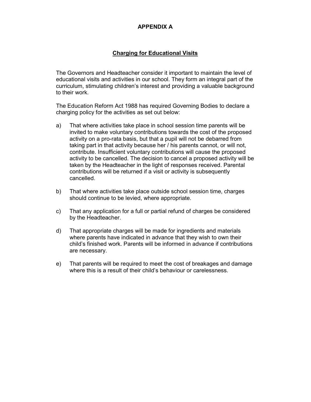#### APPENDIX A

## Charging for Educational Visits

The Governors and Headteacher consider it important to maintain the level of educational visits and activities in our school. They form an integral part of the curriculum, stimulating children's interest and providing a valuable background to their work.

The Education Reform Act 1988 has required Governing Bodies to declare a charging policy for the activities as set out below:

- a) That where activities take place in school session time parents will be invited to make voluntary contributions towards the cost of the proposed activity on a pro-rata basis, but that a pupil will not be debarred from taking part in that activity because her / his parents cannot, or will not, contribute. Insufficient voluntary contributions will cause the proposed activity to be cancelled. The decision to cancel a proposed activity will be taken by the Headteacher in the light of responses received. Parental contributions will be returned if a visit or activity is subsequently cancelled.
- b) That where activities take place outside school session time, charges should continue to be levied, where appropriate.
- c) That any application for a full or partial refund of charges be considered by the Headteacher.
- d) That appropriate charges will be made for ingredients and materials where parents have indicated in advance that they wish to own their child's finished work. Parents will be informed in advance if contributions are necessary.
- e) That parents will be required to meet the cost of breakages and damage where this is a result of their child's behaviour or carelessness.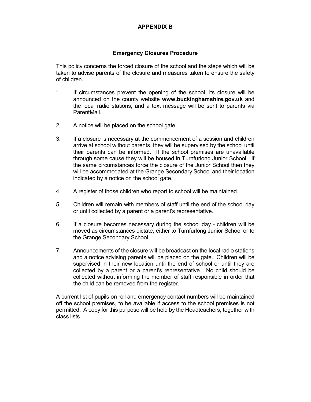#### APPENDIX B

#### Emergency Closures Procedure

 This policy concerns the forced closure of the school and the steps which will be taken to advise parents of the closure and measures taken to ensure the safety of children.

- 1. If circumstances prevent the opening of the school, its closure will be announced on the county website www.buckinghamshire.gov.uk and the local radio stations, and a text message will be sent to parents via ParentMail.
- 2. A notice will be placed on the school gate.
- 3. If a closure is necessary at the commencement of a session and children arrive at school without parents, they will be supervised by the school until their parents can be informed. If the school premises are unavailable through some cause they will be housed in Turnfurlong Junior School. If the same circumstances force the closure of the Junior School then they will be accommodated at the Grange Secondary School and their location indicated by a notice on the school gate.
- 4. A register of those children who report to school will be maintained.
- 5. Children will remain with members of staff until the end of the school day or until collected by a parent or a parent's representative.
- 6. If a closure becomes necessary during the school day children will be moved as circumstances dictate, either to Turnfurlong Junior School or to the Grange Secondary School.
- 7. Announcements of the closure will be broadcast on the local radio stations and a notice advising parents will be placed on the gate. Children will be supervised in their new location until the end of school or until they are collected by a parent or a parent's representative. No child should be collected without informing the member of staff responsible in order that the child can be removed from the register.

A current list of pupils on roll and emergency contact numbers will be maintained off the school premises, to be available if access to the school premises is not permitted. A copy for this purpose will be held by the Headteachers, together with class lists.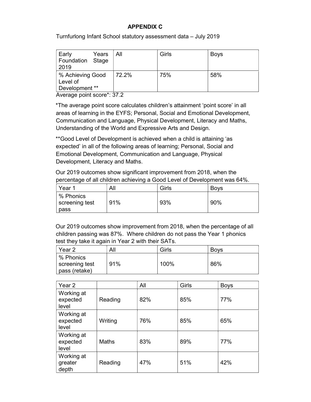## APPENDIX C

Turnfurlong Infant School statutory assessment data – July 2019

| Early<br>Years<br>Foundation Stage<br>2019     | All   | Girls | <b>Boys</b> |
|------------------------------------------------|-------|-------|-------------|
| % Achieving Good<br>Level of<br>Development ** | 72.2% | 75%   | 58%         |

Average point score\*: 37.2

\*The average point score calculates children's attainment 'point score' in all areas of learning in the EYFS; Personal, Social and Emotional Development, Communication and Language, Physical Development, Literacy and Maths, Understanding of the World and Expressive Arts and Design.

\*\*Good Level of Development is achieved when a child is attaining 'as expected' in all of the following areas of learning; Personal, Social and Emotional Development, Communication and Language, Physical Development, Literacy and Maths.

Our 2019 outcomes show significant improvement from 2018, when the percentage of all children achieving a Good Level of Development was 64%.

| Year 1                              | All | Girls | <b>Boys</b> |
|-------------------------------------|-----|-------|-------------|
| % Phonics<br>screening test<br>pass | 91% | 93%   | 90%         |

Our 2019 outcomes show improvement from 2018, when the percentage of all children passing was 87%. Where children do not pass the Year 1 phonics test they take it again in Year 2 with their SATs.

| Year 2                                         | All | Girls | <b>Bovs</b> |
|------------------------------------------------|-----|-------|-------------|
| ∣ % Phonics<br>screening test<br>pass (retake) | 91% | 100%  | 86%         |

| Year 2                          |              | All | Girls | <b>Boys</b> |
|---------------------------------|--------------|-----|-------|-------------|
| Working at<br>expected<br>level | Reading      | 82% | 85%   | 77%         |
| Working at<br>expected<br>level | Writing      | 76% | 85%   | 65%         |
| Working at<br>expected<br>level | <b>Maths</b> | 83% | 89%   | 77%         |
| Working at<br>greater<br>depth  | Reading      | 47% | 51%   | 42%         |